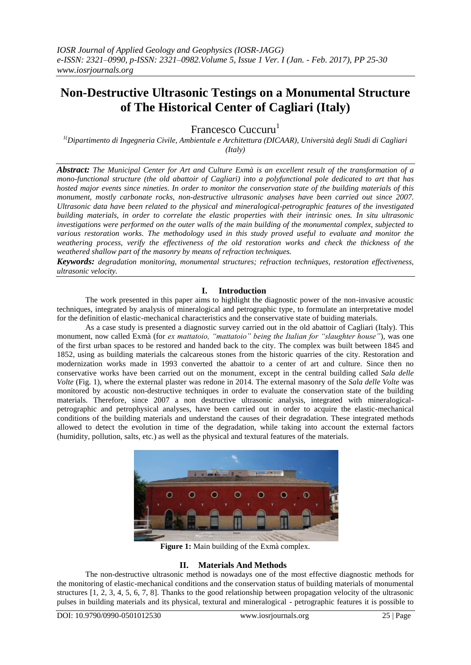# **Non-Destructive Ultrasonic Testings on a Monumental Structure of The Historical Center of Cagliari (Italy)**

Francesco Cuccuru<sup>1</sup>

*1(Dipartimento di Ingegneria Civile, Ambientale e Architettura (DICAAR), Università degli Studi di Cagliari (Italy)*

*Abstract: The Municipal Center for Art and Culture Exmà is an excellent result of the transformation of a mono-functional structure (the old abattoir of Cagliari) into a polyfunctional pole dedicated to art that has hosted major events since nineties. In order to monitor the conservation state of the building materials of this monument, mostly carbonate rocks, non-destructive ultrasonic analyses have been carried out since 2007. Ultrasonic data have been related to the physical and mineralogical-petrographic features of the investigated building materials, in order to correlate the elastic properties with their intrinsic ones. In situ ultrasonic investigations were performed on the outer walls of the main building of the monumental complex, subjected to various restoration works. The methodology used in this study proved useful to evaluate and monitor the weathering process, verify the effectiveness of the old restoration works and check the thickness of the weathered shallow part of the masonry by means of refraction techniques.*

*Keywords: degradation monitoring, monumental structures; refraction techniques, restoration effectiveness, ultrasonic velocity.*

## **I. Introduction**

The work presented in this paper aims to highlight the diagnostic power of the non-invasive acoustic techniques, integrated by analysis of mineralogical and petrographic type, to formulate an interpretative model for the definition of elastic-mechanical characteristics and the conservative state of buiding materials.

As a case study is presented a diagnostic survey carried out in the old abattoir of Cagliari (Italy). This monument, now called Exmà (for *ex mattatoio, "mattatoio" being the Italian for "slaughter house"*), was one of the first urban spaces to be restored and handed back to the city. The complex was built between 1845 and 1852, using as building materials the calcareous stones from the historic quarries of the city. Restoration and modernization works made in 1993 converted the abattoir to a center of art and culture. Since then no conservative works have been carried out on the monument, except in the central building called *Sala delle Volte* (Fig. 1), where the external plaster was redone in 2014. The external masonry of the *Sala delle Volte* was monitored by acoustic non-destructive techniques in order to evaluate the conservation state of the building materials. Therefore, since 2007 a non destructive ultrasonic analysis, integrated with mineralogicalpetrographic and petrophysical analyses, have been carried out in order to acquire the elastic-mechanical conditions of the building materials and understand the causes of their degradation. These integrated methods allowed to detect the evolution in time of the degradation, while taking into account the external factors (humidity, pollution, salts, etc.) as well as the physical and textural features of the materials.



**Figure 1:** Main building of the Exmà complex.

# **II. Materials And Methods**

The non-destructive ultrasonic method is nowadays one of the most effective diagnostic methods for the monitoring of elastic-mechanical conditions and the conservation status of building materials of monumental structures [1, 2, 3, 4, 5, 6, 7, 8]. Thanks to the good relationship between propagation velocity of the ultrasonic pulses in building materials and its physical, textural and mineralogical - petrographic features it is possible to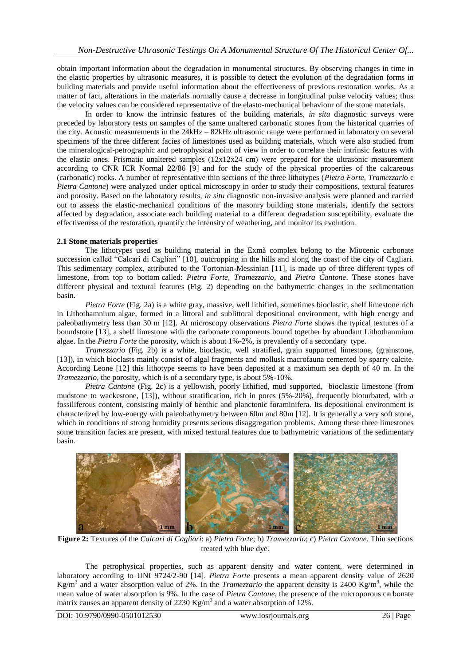obtain important information about the degradation in monumental structures. By observing changes in time in the elastic properties by ultrasonic measures, it is possible to detect the evolution of the degradation forms in building materials and provide useful information about the effectiveness of previous restoration works. As a matter of fact, alterations in the materials normally cause a decrease in longitudinal pulse velocity values; thus the velocity values can be considered representative of the elasto-mechanical behaviour of the stone materials.

In order to know the intrinsic features of the building materials, *in situ* diagnostic surveys were preceded by laboratory tests on samples of the same unaltered carbonatic stones from the historical quarries of the city. Acoustic measurements in the 24kHz – 82kHz ultrasonic range were performed in laboratory on several specimens of the three different facies of limestones used as building materials, which were also studied from the mineralogical-petrographic and petrophysical point of view in order to correlate their intrinsic features with the elastic ones. Prismatic unaltered samples  $(12x12x24$  cm) were prepared for the ultrasonic measurement according to CNR ICR Normal 22/86 [9] and for the study of the physical properties of the calcareous (carbonatic) rocks. A number of representative thin sections of the three lithotypes (*Pietra Forte*, *Tramezzario* e *Pietra Cantone*) were analyzed under optical microscopy in order to study their compositions, textural features and porosity. Based on the laboratory results, *in situ* diagnostic non-invasive analysis were planned and carried out to assess the elastic-mechanical conditions of the masonry building stone materials, identify the sectors affected by degradation, associate each building material to a different degradation susceptibility, evaluate the effectiveness of the restoration, quantify the intensity of weathering, and monitor its evolution.

# **2.1 Stone materials properties**

The lithotypes used as building material in the Exmà complex belong to the Miocenic carbonate succession called "Calcari di Cagliari" [10], outcropping in the hills and along the coast of the city of Cagliari. This sedimentary complex, attributed to the Tortonian-Messinian [11], is made up of three different types of limestone, from top to bottom called: *Pietra Forte*, *Tramezzario,* and *Pietra Cantone*. These stones have different physical and textural features (Fig. 2) depending on the bathymetric changes in the sedimentation basin.

*Pietra Forte* (Fig. 2a) is a white gray, massive, well lithified, sometimes bioclastic, shelf limestone rich in Lithothamnium algae, formed in a littoral and sublittoral depositional environment, with high energy and paleobathymetry less than 30 m [12]. At microscopy observations *Pietra Forte* shows the typical textures of a boundstone [13], a shelf limestone with the carbonate components bound together by abundant Lithothamnium algae. In the *Pietra Forte* the porosity, which is about 1%-2%, is prevalently of a secondary type.

*Tramezzario* (Fig. 2b) is a white, bioclastic, well stratified, grain supported limestone, (grainstone, [13]), in which bioclasts mainly consist of algal fragments and mollusk macrofauna cemented by sparry calcite. According Leone [12] this lithotype seems to have been deposited at a maximum sea depth of 40 m. In the *Tramezzario*, the porosity, which is of a secondary type, is about 5%-10%.

*Pietra Cantone* (Fig. 2c) is a yellowish, poorly lithified, mud supported, bioclastic limestone (from mudstone to wackestone, [13]), without stratification, rich in pores (5%-20%), frequently bioturbated, with a fossiliferous content, consisting mainly of benthic and planctonic foraminifera. Its depositional environment is characterized by low-energy with paleobathymetry between 60m and 80m [12]. It is generally a very soft stone, which in conditions of strong humidity presents serious disaggregation problems. Among these three limestones some transition facies are present, with mixed textural features due to bathymetric variations of the sedimentary basin.



**Figure 2:** Textures of the *Calcari di Cagliari*: a) *Pietra Forte*; b) *Tramezzario*; c) *Pietra Cantone*. Thin sections treated with blue dye.

The petrophysical properties, such as apparent density and water content, were determined in laboratory according to UNI 9724/2-90 [14]. *Pietra Forte* presents a mean apparent density value of 2620 Kg/m<sup>3</sup> and a water absorption value of 2%. In the *Tramezzario* the apparent density is 2400 Kg/m<sup>3</sup>, while the mean value of water absorption is 9%. In the case of *Pietra Cantone*, the presence of the microporous carbonate matrix causes an apparent density of 2230 Kg/m<sup>3</sup> and a water absorption of 12%.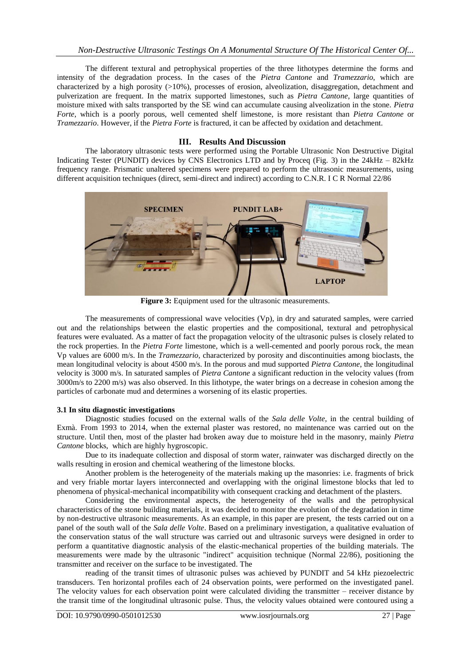The different textural and petrophysical properties of the three lithotypes determine the forms and intensity of the degradation process. In the cases of the *Pietra Cantone* and *Tramezzario*, which are characterized by a high porosity (>10%), processes of erosion, alveolization, disaggregation, detachment and pulverization are frequent. In the matrix supported limestones, such as *Pietra Cantone*, large quantities of moisture mixed with salts transported by the SE wind can accumulate causing alveolization in the stone. *Pietra Forte*, which is a poorly porous, well cemented shelf limestone, is more resistant than *Pietra Cantone* or *Tramezzario*. However, if the *Pietra Forte* is fractured, it can be affected by oxidation and detachment.

## **III. Results And Discussion**

The laboratory ultrasonic tests were performed using the Portable Ultrasonic Non Destructive Digital Indicating Tester (PUNDIT) devices by CNS Electronics LTD and by Proceq (Fig. 3) in the 24kHz – 82kHz frequency range. Prismatic unaltered specimens were prepared to perform the ultrasonic measurements, using different acquisition techniques (direct, semi-direct and indirect) according to C.N.R. I C R Normal 22/86



**Figure 3:** Equipment used for the ultrasonic measurements.

The measurements of compressional wave velocities (Vp), in dry and saturated samples, were carried out and the relationships between the elastic properties and the compositional, textural and petrophysical features were evaluated. As a matter of fact the propagation velocity of the ultrasonic pulses is closely related to the rock properties. In the *Pietra Forte* limestone, which is a well-cemented and poorly porous rock, the mean Vp values are 6000 m/s. In the *Tramezzario*, characterized by porosity and discontinuities among bioclasts, the mean longitudinal velocity is about 4500 m/s. In the porous and mud supported *Pietra Cantone*, the longitudinal velocity is 3000 m/s. In saturated samples of *Pietra Cantone* a significant reduction in the velocity values (from 3000m/s to 2200 m/s) was also observed. In this lithotype, the water brings on a decrease in cohesion among the particles of carbonate mud and determines a worsening of its elastic properties.

# **3.1 In situ diagnostic investigations**

Diagnostic studies focused on the external walls of the *Sala delle Volte*, in the central building of Exmà. From 1993 to 2014, when the external plaster was restored, no maintenance was carried out on the structure. Until then, most of the plaster had broken away due to moisture held in the masonry, mainly *Pietra Cantone* blocks, which are highly hygroscopic.

Due to its inadequate collection and disposal of storm water, rainwater was discharged directly on the walls resulting in erosion and chemical weathering of the limestone blocks.

Another problem is the heterogeneity of the materials making up the masonries: i.e. fragments of brick and very friable mortar layers interconnected and overlapping with the original limestone blocks that led to phenomena of physical-mechanical incompatibility with consequent cracking and detachment of the plasters.

Considering the environmental aspects, the heterogeneity of the walls and the petrophysical characteristics of the stone building materials, it was decided to monitor the evolution of the degradation in time by non-destructive ultrasonic measurements. As an example, in this paper are present, the tests carried out on a panel of the south wall of the *Sala delle Volte*. Based on a preliminary investigation, a qualitative evaluation of the conservation status of the wall structure was carried out and ultrasonic surveys were designed in order to perform a quantitative diagnostic analysis of the elastic-mechanical properties of the building materials. The measurements were made by the ultrasonic "indirect" acquisition technique (Normal 22/86), positioning the transmitter and receiver on the surface to be investigated. The

reading of the transit times of ultrasonic pulses was achieved by PUNDIT and 54 kHz piezoelectric transducers. Ten horizontal profiles each of 24 observation points, were performed on the investigated panel. The velocity values for each observation point were calculated dividing the transmitter – receiver distance by the transit time of the longitudinal ultrasonic pulse. Thus, the velocity values obtained were contoured using a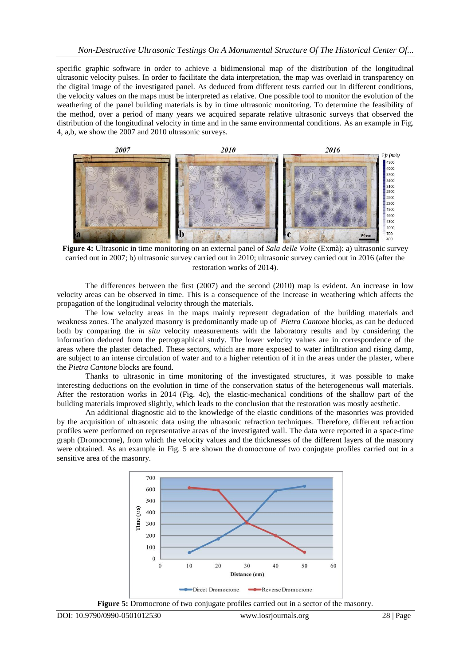specific graphic software in order to achieve a bidimensional map of the distribution of the longitudinal ultrasonic velocity pulses. In order to facilitate the data interpretation, the map was overlaid in transparency on the digital image of the investigated panel. As deduced from different tests carried out in different conditions, the velocity values on the maps must be interpreted as relative. One possible tool to monitor the evolution of the weathering of the panel building materials is by in time ultrasonic monitoring. To determine the feasibility of the method, over a period of many years we acquired separate relative ultrasonic surveys that observed the distribution of the longitudinal velocity in time and in the same environmental conditions. As an example in Fig. 4, a,b, we show the 2007 and 2010 ultrasonic surveys.



**Figure 4:** Ultrasonic in time monitoring on an external panel of *Sala delle Volte* (Exmà): a) ultrasonic survey carried out in 2007; b) ultrasonic survey carried out in 2010; ultrasonic survey carried out in 2016 (after the restoration works of 2014).

The differences between the first (2007) and the second (2010) map is evident. An increase in low velocity areas can be observed in time. This is a consequence of the increase in weathering which affects the propagation of the longitudinal velocity through the materials.

The low velocity areas in the maps mainly represent degradation of the building materials and weakness zones. The analyzed masonry is predominantly made up of *Pietra Cantone* blocks, as can be deduced both by comparing the *in situ* velocity measurements with the laboratory results and by considering the information deduced from the petrographical study. The lower velocity values are in correspondence of the areas where the plaster detached. These sectors, which are more exposed to water infiltration and rising damp, are subject to an intense circulation of water and to a higher retention of it in the areas under the plaster, where the *Pietra Cantone* blocks are found.

Thanks to ultrasonic in time monitoring of the investigated structures, it was possible to make interesting deductions on the evolution in time of the conservation status of the heterogeneous wall materials. After the restoration works in 2014 (Fig. 4c), the elastic-mechanical conditions of the shallow part of the building materials improved slightly, which leads to the conclusion that the restoration was mostly aesthetic.

An additional diagnostic aid to the knowledge of the elastic conditions of the masonries was provided by the acquisition of ultrasonic data using the ultrasonic refraction techniques. Therefore, different refraction profiles were performed on representative areas of the investigated wall. The data were reported in a space-time graph (Dromocrone), from which the velocity values and the thicknesses of the different layers of the masonry were obtained. As an example in Fig. 5 are shown the dromocrone of two conjugate profiles carried out in a sensitive area of the masonry.



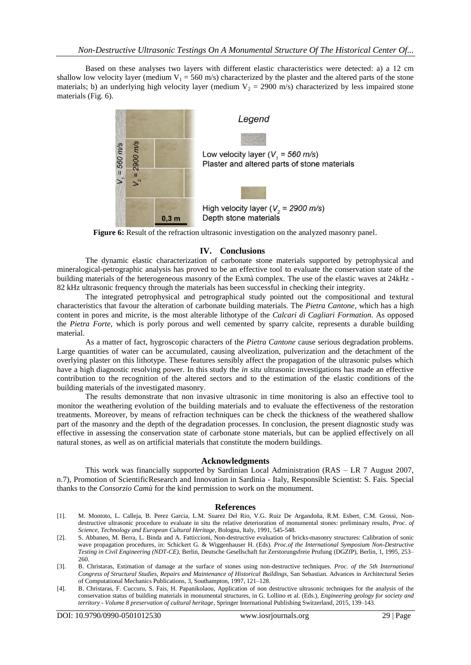Based on these analyses two layers with different elastic characteristics were detected: a) a 12 cm shallow low velocity layer (medium  $V_1 = 560$  m/s) characterized by the plaster and the altered parts of the stone materials; b) an underlying high velocity layer (medium  $V_2 = 2900$  m/s) characterized by less impaired stone materials (Fig. 6).



**Figure 6:** Result of the refraction ultrasonic investigation on the analyzed masonry panel.

#### **IV. Conclusions**

The dynamic elastic characterization of carbonate stone materials supported by petrophysical and mineralogical-petrographic analysis has proved to be an effective tool to evaluate the conservation state of the building materials of the heterogeneous masonry of the Exmà complex. The use of the elastic waves at 24kHz - 82 kHz ultrasonic frequency through the materials has been successful in checking their integrity.

The integrated petrophysical and petrographical study pointed out the compositional and textural characteristics that favour the alteration of carbonate building materials. The *Pietra Cantone*, which has a high content in pores and micrite, is the most alterable lithotype of the *Calcari di Cagliari Formation*. As opposed the *Pietra Forte*, which is porly porous and well cemented by sparry calcite, represents a durable building material.

As a matter of fact, hygroscopic characters of the *Pietra Cantone* cause serious degradation problems. Large quantities of water can be accumulated, causing alveolization, pulverization and the detachment of the overlying plaster on this lithotype. These features sensibly affect the propagation of the ultrasonic pulses which have a high diagnostic resolving power. In this study the *in situ* ultrasonic investigations has made an effective contribution to the recognition of the altered sectors and to the estimation of the elastic conditions of the building materials of the investigated masonry.

The results demonstrate that non invasive ultrasonic in time monitoring is also an effective tool to monitor the weathering evolution of the building materials and to evaluate the effectiveness of the restoration treatments. Moreover, by means of refraction techniques can be check the thickness of the weathered shallow part of the masonry and the depth of the degradation processes. In conclusion, the present diagnostic study was effective in assessing the conservation state of carbonate stone materials, but can be applied effectively on all natural stones, as well as on artificial materials that constitute the modern buildings.

#### **Acknowledgments**

This work was financially supported by Sardinian Local Administration (RAS – LR 7 August 2007, n.7), Promotion of ScientificResearch and Innovation in Sardinia - Italy, Responsible Scientist: S. Fais. Special thanks to the *Consorzio Camù* for the kind permission to work on the monument.

#### **References**

- [1]. M. Montoto, L. Calleja, B. Perez Garcia, L.M. Suarez Del Rio, V.G. Ruiz De Argandoña, R.M. Esbert, C.M. Grossi, [Non](http://www.sciencedirect.com/science/article/pii/B9780750602372500861)destructive ultrasonic procedure to evaluate in situ the [relative deterioration of monumental stones: preliminary results,](http://www.sciencedirect.com/science/article/pii/B9780750602372500861) *Proc. of Science, Technology and European Cultural Heritage*, Bologna, Italy, 1991, 545-548.
- [2]. S. Abbaneo, M. Berra, L. Binda and A. Fatticcioni, Non-destructive evaluation of bricks-masonry structures: Calibration of sonic wave propagation procedures, in: Schickert G. & Wiggenhauser H. (Eds). *Proc.of the International Symposium Non-Destructive Testing in Civil Engineering (NDT-CE)*, Berlin, Deutsche Gesellschaft fur Zerstorungsfreie Prufung (DGZfP), Berlin, 1, 1995, 253– 260.
- [3]. B. Christaras, Estimation of damage at the surface of stones using non-destructive techniques. *Proc. of the 5th International Congress of Structural Studies, Repairs and Maintenance of Historical Buildings*, San Sebastian. Advances in Architectural Series of Computational Mechanics Publications, 3, Southampton, 1997, 121–128.
- [4]. B. Christaras, F. Cuccuru, S. Fais, H. Papanikolaou, Application of non destructive ultrasonic techniques for the analysis of the conservation status of building materials in monumental structures, in G. Lollino et al. (Eds.), *Engineering geology for society and territory - Volume 8 preservation of cultural heritage*, Springer International Publishing Switzerland, 2015, 139–143.